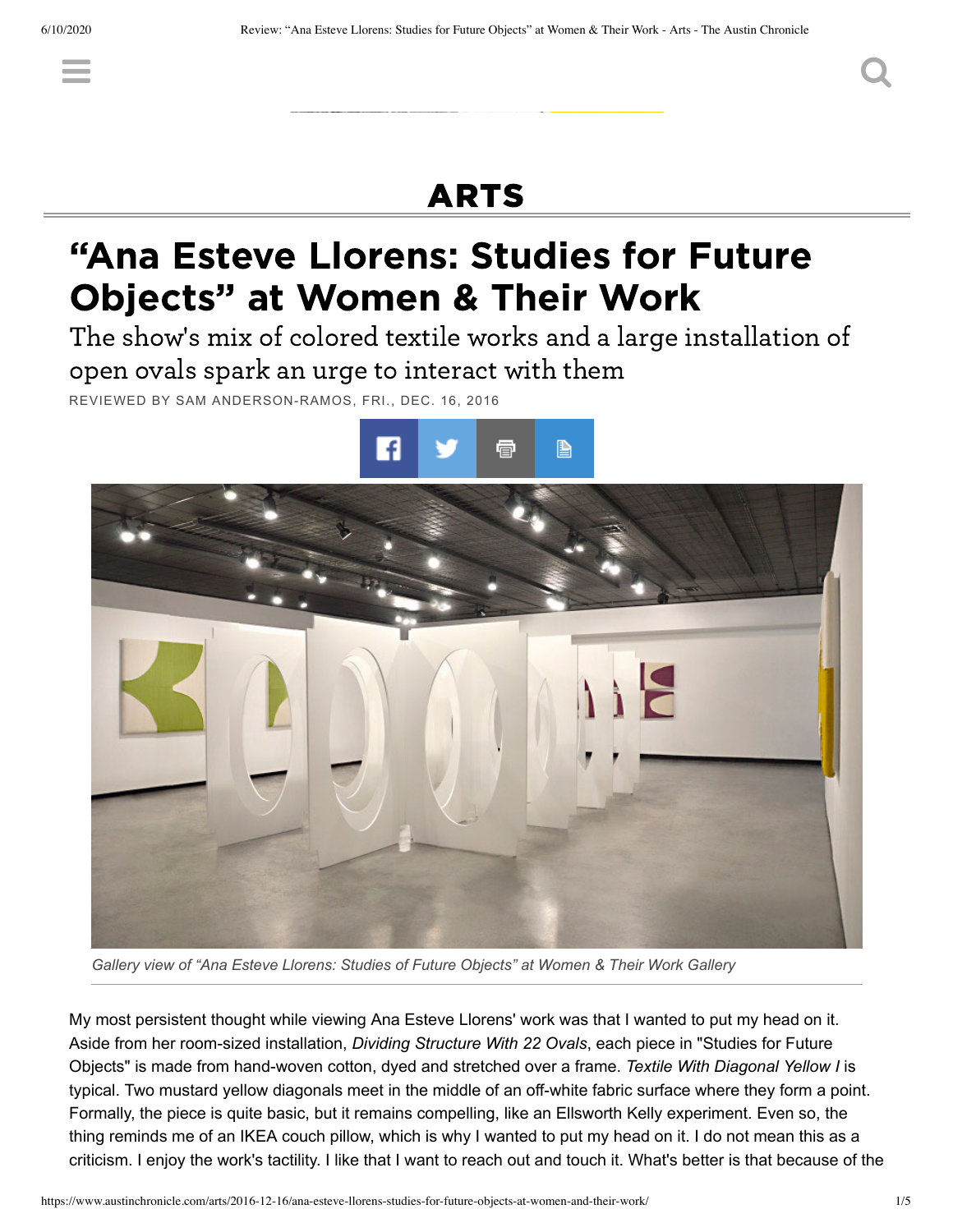## [ARTS](https://www.austinchronicle.com/arts/)

 $\equiv$  , and the contract of  $\sim$   $\sim$   $\sim$ 

# "Ana Esteve Llorens: Studies for Future Objects" at Women & Their Work

The show's mix of colored textile works and a large installation of open ovals spark an urge to interact with them

REVIEWED BY SAM [ANDERSON-RAMOS,](https://www.austinchronicle.com/authors/sam-anderson-ramos/) FRI., [DEC.](https://www.austinchronicle.com/issues/2016-12-16/) 16, 2016





*Gallery view of "Ana Esteve Llorens: Studies of Future Objects" at Women & Their Work Gallery*

My most persistent thought while viewing Ana Esteve Llorens' work was that I wanted to put my head on it. Aside from her room-sized installation, *Dividing Structure With 22 Ovals*, each piece in "Studies for Future Objects" is made from hand-woven cotton, dyed and stretched over a frame. *Textile With Diagonal Yellow I* is typical. Two mustard yellow diagonals meet in the middle of an off-white fabric surface where they form a point. Formally, the piece is quite basic, but it remains compelling, like an Ellsworth Kelly experiment. Even so, the thing reminds me of an IKEA couch pillow, which is why I wanted to put my head on it. I do not mean this as a criticism. I enjoy the work's tactility. I like that I want to reach out and touch it. What's better is that because of the